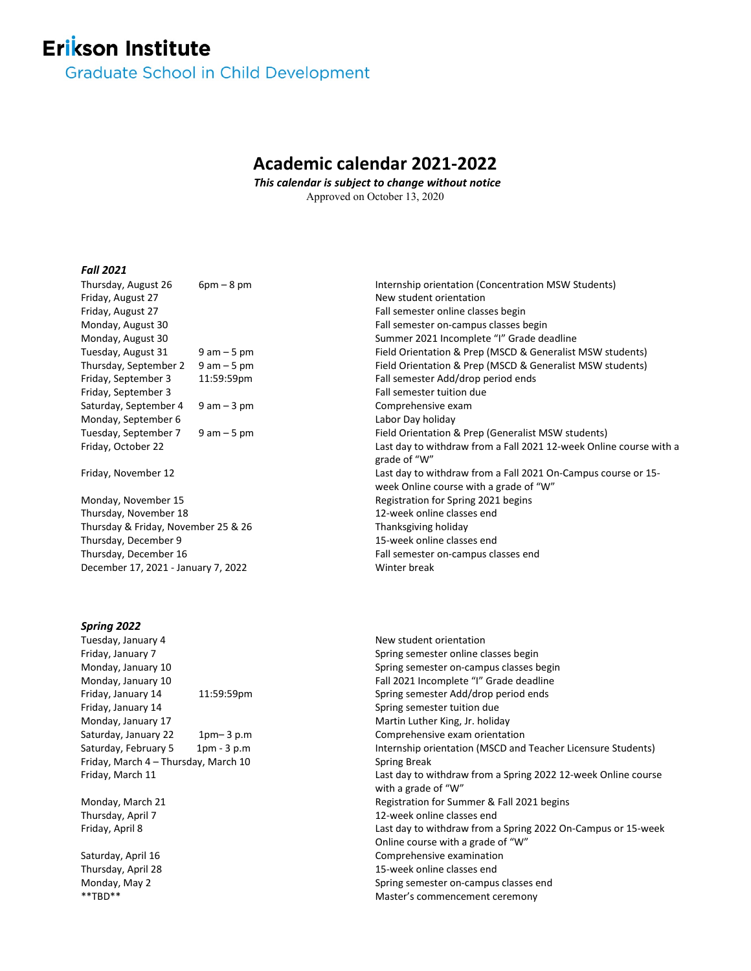# **Erikson Institute**

**Graduate School in Child Development** 

# **Academic calendar 2021-2022**

*This calendar is subject to change without notice*  Approved on October 13, 2020

## *Fall 2021*

| Thursday, August 26                 | $6pm - 8pm$    | Internship orientation (Concentration MSW Students)                |
|-------------------------------------|----------------|--------------------------------------------------------------------|
| Friday, August 27                   |                | New student orientation                                            |
| Friday, August 27                   |                | Fall semester online classes begin                                 |
| Monday, August 30                   |                | Fall semester on-campus classes begin                              |
| Monday, August 30                   |                | Summer 2021 Incomplete "I" Grade deadline                          |
| Tuesday, August 31                  | $9$ am $-5$ pm | Field Orientation & Prep (MSCD & Generalist MSW students)          |
| Thursday, September 2               | $9$ am $-5$ pm | Field Orientation & Prep (MSCD & Generalist MSW students)          |
| Friday, September 3                 | 11:59:59pm     | Fall semester Add/drop period ends                                 |
| Friday, September 3                 |                | Fall semester tuition due                                          |
| Saturday, September 4               | $9$ am $-3$ pm | Comprehensive exam                                                 |
| Monday, September 6                 |                | Labor Day holiday                                                  |
| Tuesday, September 7                | $9$ am $-5$ pm | Field Orientation & Prep (Generalist MSW students)                 |
| Friday, October 22                  |                | Last day to withdraw from a Fall 2021 12-week Online course with a |
|                                     |                | grade of "W"                                                       |
| Friday, November 12                 |                | Last day to withdraw from a Fall 2021 On-Campus course or 15-      |
|                                     |                | week Online course with a grade of "W"                             |
| Monday, November 15                 |                | Registration for Spring 2021 begins                                |
| Thursday, November 18               |                | 12-week online classes end                                         |
| Thursday & Friday, November 25 & 26 |                | Thanksgiving holiday                                               |
| Thursday, December 9                |                | 15-week online classes end                                         |
| Thursday, December 16               |                | Fall semester on-campus classes end                                |
| December 17, 2021 - January 7, 2022 |                | Winter break                                                       |
|                                     |                |                                                                    |

#### *Spring 2022*

Friday, January 7 Spring semester online classes begin Friday, January 14 11:59:59pm Spring semester Add/drop period ends Friday, January 14 Spring semester tuition due Monday, January 17 Martin Luther King, Jr. holiday Saturday, January 22 1pm– 3 p.m Comprehensive exam orientation Friday, March 4 – Thursday, March 10 Friday, March 11

Monday, March 21 Thursday, April 7 Friday, April 8

Saturday, April 16 Thursday, April 28 Monday, May 2

Tuesday, January 4 and the student orientation of the New student orientation Monday, January 10 Spring semester on-campus classes begin Monday, January 10 **Fall 2021** Incomplete "I" Grade deadline Saturday, February 5 1pm - 3 p.m Internship orientation (MSCD and Teacher Licensure Students) Spring Break Last day to withdraw from a Spring 2022 12-week Online course with a grade of "W" Registration for Summer & Fall 2021 begins 12-week online classes end Last day to withdraw from a Spring 2022 On-Campus or 15-week Online course with a grade of "W" Comprehensive examination 15-week online classes end Spring semester on-campus classes end \*\*TBD\*\* Master's commencement ceremony